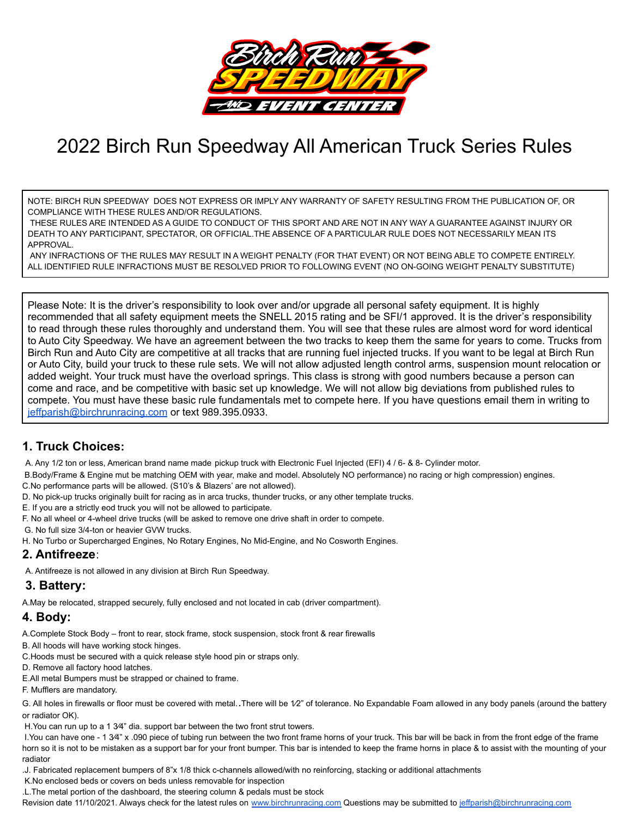

# 2022 Birch Run Speedway All American Truck Series Rules

NOTE: BIRCH RUN SPEEDWAY DOES NOT EXPRESS OR IMPLY ANY WARRANTY OF SAFETY RESULTING FROM THE PUBLICATION OF, OR COMPLIANCE WITH THESE RULES AND/OR REGULATIONS.

THESE RULES ARE INTENDED AS A GUIDE TO CONDUCT OF THIS SPORT AND ARE NOT IN ANY WAY A GUARANTEE AGAINST INJURY OR DEATH TO ANY PARTICIPANT, SPECTATOR, OR OFFICIAL.THE ABSENCE OF A PARTICULAR RULE DOES NOT NECESSARILY MEAN ITS APPROVAL.

ANY INFRACTIONS OF THE RULES MAY RESULT IN A WEIGHT PENALTY (FOR THAT EVENT) OR NOT BEING ABLE TO COMPETE ENTIRELY. ALL IDENTIFIED RULE INFRACTIONS MUST BE RESOLVED PRIOR TO FOLLOWING EVENT (NO ON-GOING WEIGHT PENALTY SUBSTITUTE)

Please Note: It is the driver's responsibility to look over and/or upgrade all personal safety equipment. It is highly recommended that all safety equipment meets the SNELL 2015 rating and be SFI/1 approved. It is the driver's responsibility to read through these rules thoroughly and understand them. You will see that these rules are almost word for word identical to Auto City Speedway. We have an agreement between the two tracks to keep them the same for years to come. Trucks from Birch Run and Auto City are competitive at all tracks that are running fuel injected trucks. If you want to be legal at Birch Run or Auto City, build your truck to these rule sets. We will not allow adjusted length control arms, suspension mount relocation or added weight. Your truck must have the overload springs. This class is strong with good numbers because a person can come and race, and be competitive with basic set up knowledge. We will not allow big deviations from published rules to compete. You must have these basic rule fundamentals met to compete here. If you have questions email them in writing to [jeffparish@birchrunracing.com](mailto:jeffparish@birchrunracing.com) or text 989.395.0933.

## **1. Truck Choices:**

A. Any 1/2 ton or less, American brand name made pickup truck with Electronic Fuel Injected (EFI) 4 / 6- & 8- Cylinder motor.

B.Body/Frame & Engine mut be matching OEM with year, make and model. Absolutely NO performance) no racing or high compression) engines.

C.No performance parts will be allowed. (S10's & Blazers' are not allowed).

D. No pick-up trucks originally built for racing as in arca trucks, thunder trucks, or any other template trucks.

E. If you are a strictly eod truck you will not be allowed to participate.

F. No all wheel or 4-wheel drive trucks (will be asked to remove one drive shaft in order to compete.

G. No full size 3/4-ton or heavier GVW trucks.

H. No Turbo or Supercharged Engines, No Rotary Engines, No Mid-Engine, and No Cosworth Engines.

## **2. Antifreeze**:

A. Antifreeze is not allowed in any division at Birch Run Speedway.

# **3. Battery:**

A.May be relocated, strapped securely, fully enclosed and not located in cab (driver compartment).

# **4. Body:**

A.Complete Stock Body – front to rear, stock frame, stock suspension, stock front & rear firewalls

B. All hoods will have working stock hinges.

C.Hoods must be secured with a quick release style hood pin or straps only.

D. Remove all factory hood latches.

E.All metal Bumpers must be strapped or chained to frame.

F. Mufflers are mandatory.

G. All holes in firewalls or floor must be covered with metal. There will be 1/2" of tolerance. No Expandable Foam allowed in any body panels (around the battery or radiator OK).

H.You can run up to a 1 3⁄4" dia. support bar between the two front strut towers.

I. You can have one - 1 3⁄4" x .090 piece of tubing run between the two front frame horns of your truck. This bar will be back in from the front edge of the frame horn so it is not to be mistaken as a support bar for your front bumper. This bar is intended to keep the frame horns in place & to assist with the mounting of your radiator

.J. Fabricated replacement bumpers of 8"x 1/8 thick c-channels allowed/with no reinforcing, stacking or additional attachments

K.No enclosed beds or covers on beds unless removable for inspection

.L.The metal portion of the dashboard, the steering column & pedals must be stock

Revision date 11/10/2021. Always check for the latest rules on [www.birchrunracing.com](http://www.birchrunracing.com) Questions may be submitted to [jeffparish@birchrunracing.com](mailto:jeffparish@birchrunracing.com)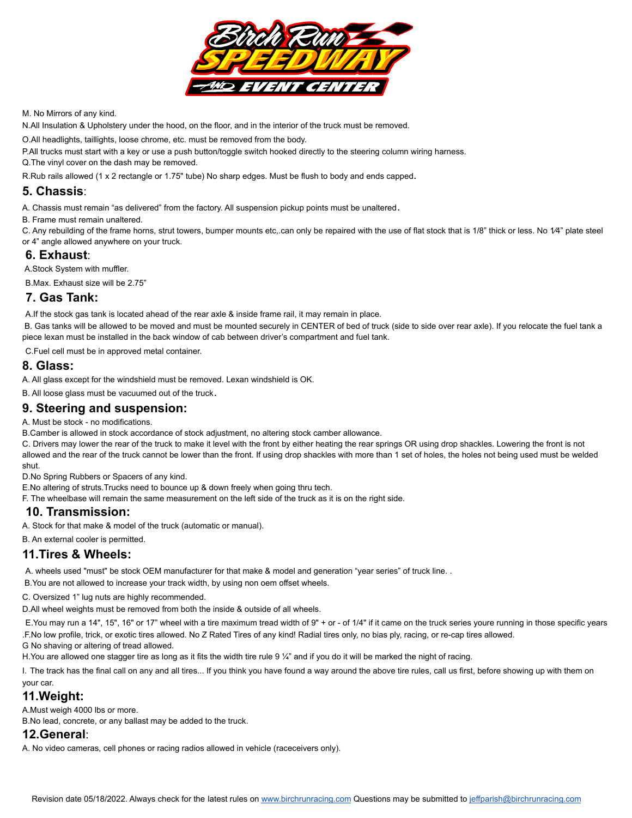

M. No Mirrors of any kind.

N.All Insulation & Upholstery under the hood, on the floor, and in the interior of the truck must be removed.

O.All headlights, taillights, loose chrome, etc. must be removed from the body.

P.All trucks must start with a key or use a push button/toggle switch hooked directly to the steering column wiring harness.

Q.The vinyl cover on the dash may be removed.

R.Rub rails allowed (1 x 2 rectangle or 1.75" tube) No sharp edges. Must be flush to body and ends capped.

#### **5. Chassis**:

A. Chassis must remain "as delivered" from the factory. All suspension pickup points must be unaltered.

B. Frame must remain unaltered.

C. Any rebuilding of the frame horns, strut towers, bumper mounts etc,.can only be repaired with the use of flat stock that is 1/8" thick or less. No 1/4" plate steel or 4" angle allowed anywhere on your truck.

#### **6. Exhaust**:

A.Stock System with muffler.

B.Max. Exhaust size will be 2.75"

#### **7. Gas Tank:**

A.If the stock gas tank is located ahead of the rear axle & inside frame rail, it may remain in place.

B. Gas tanks will be allowed to be moved and must be mounted securely in CENTER of bed of truck (side to side over rear axle). If you relocate the fuel tank a piece lexan must be installed in the back window of cab between driver's compartment and fuel tank.

C.Fuel cell must be in approved metal container.

#### **8. Glass:**

A. All glass except for the windshield must be removed. Lexan windshield is OK.

B. All loose glass must be vacuumed out of the truck.

#### **9. Steering and suspension:**

A. Must be stock - no modifications.

B.Camber is allowed in stock accordance of stock adjustment, no altering stock camber allowance.

C. Drivers may lower the rear of the truck to make it level with the front by either heating the rear springs OR using drop shackles. Lowering the front is not allowed and the rear of the truck cannot be lower than the front. If using drop shackles with more than 1 set of holes, the holes not being used must be welded shut.

D.No Spring Rubbers or Spacers of any kind.

E.No altering of struts.Trucks need to bounce up & down freely when going thru tech.

F. The wheelbase will remain the same measurement on the left side of the truck as it is on the right side.

#### **10. Transmission:**

A. Stock for that make & model of the truck (automatic or manual).

B. An external cooler is permitted.

## **11.Tires & Wheels:**

A. wheels used "must" be stock OEM manufacturer for that make & model and generation "year series" of truck line. .

B.You are not allowed to increase your track width, by using non oem offset wheels.

C. Oversized 1" lug nuts are highly recommended.

D.All wheel weights must be removed from both the inside & outside of all wheels.

E.You may run a 14", 15", 16" or 17" wheel with a tire maximum tread width of 9" + or - of 1/4" if it came on the truck series youre running in those specific years .F.No low profile, trick, or exotic tires allowed. No Z Rated Tires of any kind! Radial tires only, no bias ply, racing, or re-cap tires allowed.

G No shaving or altering of tread allowed.

H. You are allowed one stagger tire as long as it fits the width tire rule 9 ¼" and if you do it will be marked the night of racing.

I. The track has the final call on any and all tires... If you think you have found a way around the above tire rules, call us first, before showing up with them on your car.

# **11.Weight:**

A.Must weigh 4000 lbs or more.

B.No lead, concrete, or any ballast may be added to the truck.

#### **12.General**:

A. No video cameras, cell phones or racing radios allowed in vehicle (raceceivers only).